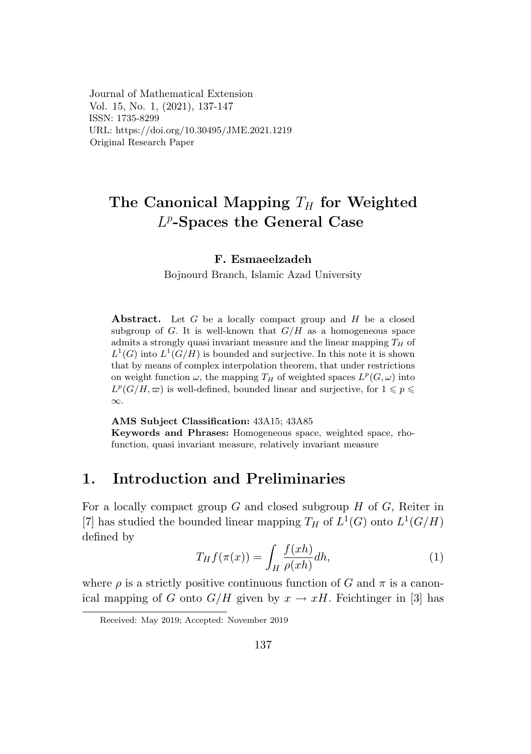Journal of Mathematical Extension Vol. 15, No. 1, (2021), 137-147 ISSN: 1735-8299 URL: https://doi.org/10.30495/JME.2021.1219 Original Research Paper

## The Canonical Mapping *T<sup>H</sup>* for Weighted *L<sup>p</sup>*-Spaces the General Case  $\mu$  spaces the General Case

# F. Esmaeelzadeh

Bojnourd Branch, Islamic Azad University

Abstract. Let *G* be a locally compact group and *H* be a closed subgroup of  $G$ . It is well-known that  $G/H$  as a homogeneous space admits a strongly quasi invariant measure and the linear mapping  $T_H$  of admits a strongly quasi invariant measure and the linear mapping  $I_H$  or  $L^1(G)$  into  $L^1(G/H)$  is bounded and surjective. In this note it is shown that by means of complex interpolation theorem, that under restrictions on weight function  $\omega$ , the mapping  $T_H$  of weighted spaces  $L^p(G, \omega)$  into  $L^p(G/H, \varpi)$  is well-defined, bounded linear and surjective, for  $1 \leqslant p \leqslant$ *∞*. on weight function  $\omega$ , the mapping  $T_H$  of weighted spaces  $L^2(G,H)$  into  $L^p(G/H)$  is smalled began and surjective.  $f(x) \leq$ on weight function *ω*, the mapping *T<sup>H</sup>* of weighted spaces *L<sup>p</sup>*(*G, ω*) into

AMS Subject Classification:  $43A15$ ;  $43A85$ Keywords and Phrases: Homogeneous space, weighted space, rho-*∞*. function, quasi invariant measure, relatively invariant measure

## 1. Introduction and Preliminaries

For a locally compact group  $G$  and closed subgroup  $H$  of  $G$ , Reiter in [7] has studied the bounded linear mapping  $T_H$  of  $L^1(G)$  onto  $L^1(G/H)$ defined by

$$
T_H f(\pi(x)) = \int_H \frac{f(xh)}{\rho(xh)} dh,\tag{1}
$$

where  $\rho$  is a strictly positive continuous function of *G* and  $\pi$  is a canonical mapping of *G* onto  $G/H$  given by  $x \to xH$ . Feichtinger in [3] has

Received: May 2019; Accepted: November 2019 *itecrived. May 2019*, *Accepted. November 2019*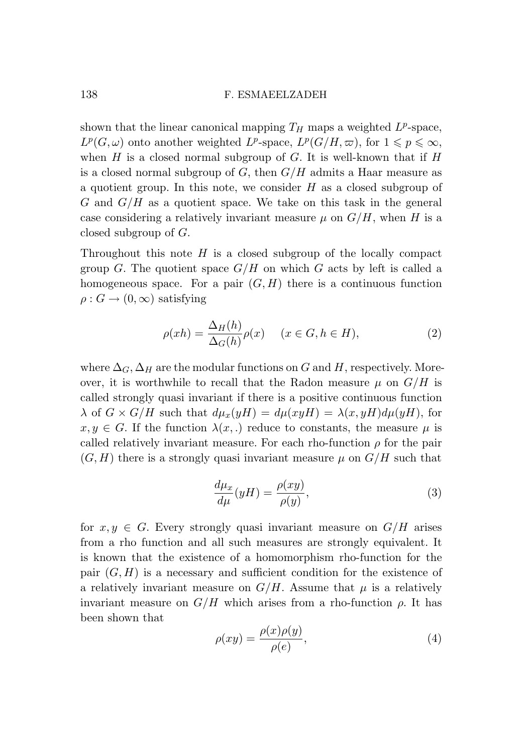shown that the linear canonical mapping  $T_H$  maps a weighted  $L^p$ -space,  $L^p(G, \omega)$  onto another weighted *L*<sup>*p*</sup>-space,  $L^p(G/H, \omega)$ , for  $1 \leq p \leq \infty$ , when *H* is a closed normal subgroup of *G*. It is well-known that if *H* is a closed normal subgroup of *G*, then *G/H* admits a Haar measure as a quotient group. In this note, we consider *H* as a closed subgroup of *G* and *G/H* as a quotient space. We take on this task in the general case considering a relatively invariant measure  $\mu$  on  $G/H$ , when *H* is a closed subgroup of *G*.

Throughout this note *H* is a closed subgroup of the locally compact group *G*. The quotient space  $G/H$  on which *G* acts by left is called a homogeneous space. For a pair  $(G, H)$  there is a continuous function  $\rho: G \to (0, \infty)$  satisfying

$$
\rho(xh) = \frac{\Delta_H(h)}{\Delta_G(h)} \rho(x) \quad (x \in G, h \in H), \tag{2}
$$

where  $\Delta_G$ ,  $\Delta_H$  are the modular functions on *G* and *H*, respectively. Moreover, it is worthwhile to recall that the Radon measure  $\mu$  on  $G/H$  is called strongly quasi invariant if there is a positive continuous function  $\lambda$  of  $G \times G/H$  such that  $d\mu_x(yH) = d\mu(xyH) = \lambda(x, yH) d\mu(yH)$ , for  $x, y \in G$ . If the function  $\lambda(x,.)$  reduce to constants, the measure  $\mu$  is called relatively invariant measure. For each rho-function  $\rho$  for the pair  $(G, H)$  there is a strongly quasi invariant measure  $\mu$  on  $G/H$  such that

$$
\frac{d\mu_x}{d\mu}(yH) = \frac{\rho(xy)}{\rho(y)},\tag{3}
$$

for  $x, y \in G$ . Every strongly quasi invariant measure on  $G/H$  arises from a rho function and all such measures are strongly equivalent. It is known that the existence of a homomorphism rho-function for the pair  $(G, H)$  is a necessary and sufficient condition for the existence of a relatively invariant measure on  $G/H$ . Assume that  $\mu$  is a relatively invariant measure on  $G/H$  which arises from a rho-function  $\rho$ . It has been shown that

$$
\rho(xy) = \frac{\rho(x)\rho(y)}{\rho(e)},\tag{4}
$$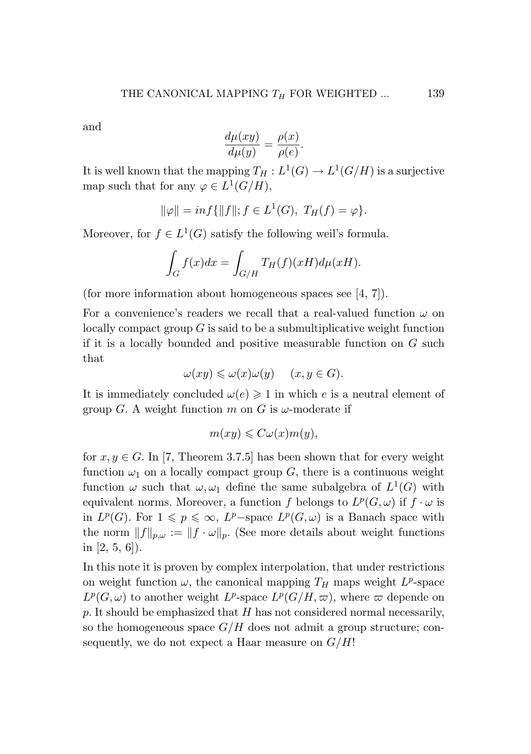and

$$
\frac{d\mu(xy)}{d\mu(y)} = \frac{\rho(x)}{\rho(e)}.
$$

It is well known that the mapping  $T_H: L^1(G) \to L^1(G/H)$  is a surjective map such that for any  $\varphi \in L^1(G/H)$ ,

$$
\|\varphi\| = \inf\{\|f\|; f \in L^1(G), T_H(f) = \varphi\}.
$$

Moreover, for  $f \in L^1(G)$  satisfy the following weil's formula.

$$
\int_G f(x)dx = \int_{G/H} T_H(f)(xH)d\mu(xH).
$$

(for more information about homogeneous spaces see [4, 7]).

For a convenience's readers we recall that a real-valued function *ω* on locally compact group *G* is said to be a submultiplicative weight function if it is a locally bounded and positive measurable function on *G* such that

$$
\omega(xy) \leqslant \omega(x)\omega(y) \quad (x, y \in G).
$$

It is immediately concluded  $\omega(e) \geq 1$  in which *e* is a neutral element of group *G*. A weight function *m* on *G* is  $\omega$ -moderate if

$$
m(xy) \leqslant C\omega(x)m(y),
$$

for  $x, y \in G$ . In [7, Theorem 3.7.5] has been shown that for every weight function  $\omega_1$  on a locally compact group  $G$ , there is a continuous weight function  $\omega$  such that  $\omega, \omega_1$  define the same subalgebra of  $L^1(G)$  with equivalent norms. Moreover, a function *f* belongs to  $L^p(G, \omega)$  if  $f \cdot \omega$  is in  $L^p(G)$ . For  $1 \leq p \leq \infty$ ,  $L^p$ −space  $L^p(G,\omega)$  is a Banach space with the norm  $||f||_{p,\omega} := ||f \cdot \omega||_p$ . (See more details about weight functions in [2, 5, 6]).

In this note it is proven by complex interpolation, that under restrictions on weight function  $\omega$ , the canonical mapping  $T_H$  maps weight  $L^p$ -space  $L^p(G, \omega)$  to another weight  $L^p$ -space  $L^p(G/H, \omega)$ , where  $\omega$  depende on *p*. It should be emphasized that *H* has not considered normal necessarily, so the homogeneous space *G/H* does not admit a group structure; consequently, we do not expect a Haar measure on *G/H*!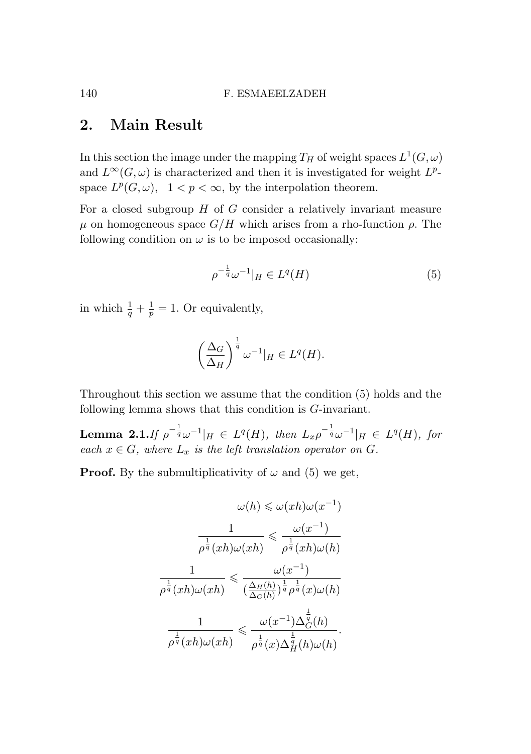## 2. Main Result

In this section the image under the mapping  $T_H$  of weight spaces  $L^1(G,\omega)$ and  $L^{\infty}(G,\omega)$  is characterized and then it is investigated for weight  $L^p$ space  $L^p(G, \omega)$ ,  $1 < p < \infty$ , by the interpolation theorem.

For a closed subgroup *H* of *G* consider a relatively invariant measure  $\mu$  on homogeneous space *G/H* which arises from a rho-function  $ρ$ . The following condition on  $\omega$  is to be imposed occasionally:

$$
\rho^{-\frac{1}{q}}\omega^{-1}|_H \in L^q(H) \tag{5}
$$

in which  $\frac{1}{q} + \frac{1}{p} = 1$ . Or equivalently,

$$
\left(\frac{\Delta_G}{\Delta_H}\right)^{\frac{1}{q}} \omega^{-1}|_H \in L^q(H).
$$

Throughout this section we assume that the condition (5) holds and the following lemma shows that this condition is *G*-invariant.

**Lemma 2.1.** If  $\rho^{-\frac{1}{q}}\omega^{-1}|_H \in L^q(H)$ , then  $L_x\rho^{-\frac{1}{q}}\omega^{-1}|_H \in L^q(H)$ , for *each*  $x \in G$ *, where*  $L_x$  *is the left translation operator on*  $G$ *.* 

**Proof.** By the submultiplicativity of  $\omega$  and (5) we get,

$$
\omega(h) \leqslant \omega(xh)\omega(x^{-1})
$$

$$
\frac{1}{\rho^{\frac{1}{q}}(xh)\omega(xh)} \leqslant \frac{\omega(x^{-1})}{\rho^{\frac{1}{q}}(xh)\omega(h)}
$$

$$
\frac{1}{\rho^{\frac{1}{q}}(xh)\omega(xh)} \leqslant \frac{\omega(x^{-1})}{(\frac{\Delta_H(h)}{\Delta_G(h)})^{\frac{1}{q}}\rho^{\frac{1}{q}}(x)\omega(h)}
$$

$$
\frac{1}{\rho^{\frac{1}{q}}(xh)\omega(xh)} \leqslant \frac{\omega(x^{-1})\Delta_G^{\frac{1}{q}}(h)}{\rho^{\frac{1}{q}}(x)\Delta_H^{\frac{1}{q}}(h)\omega(h)}.
$$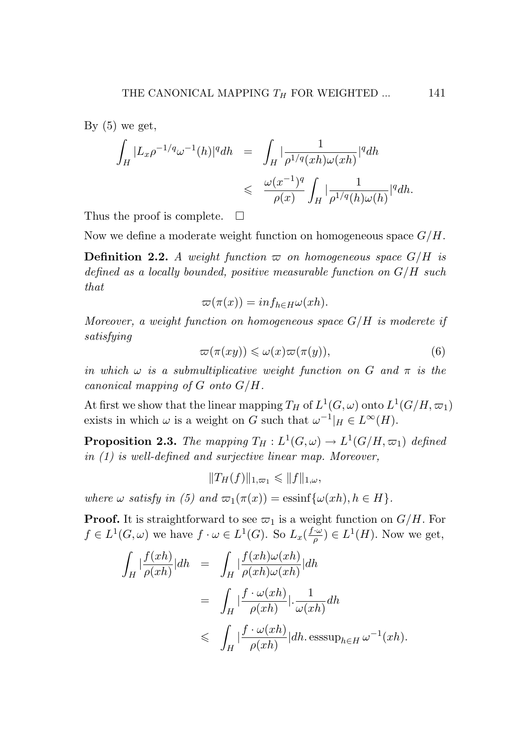By  $(5)$  we get,

$$
\begin{array}{lcl} \displaystyle\int_H |L_x\rho^{-1/q}\omega^{-1}(h)|^q dh&=&\displaystyle\int_H |\frac{1}{\rho^{1/q}(xh)\omega(xh)}|^q dh\\&\leqslant&\displaystyle\frac{\omega(x^{-1})^q}{\rho(x)}\displaystyle\int_H |\frac{1}{\rho^{1/q}(h)\omega(h)}|^q dh.\end{array}
$$

Thus the proof is complete.  $\Box$ 

Now we define a moderate weight function on homogeneous space *G/H*.

**Definition 2.2.** A weight function  $\varpi$  on homogeneous space  $G/H$  is *defined as a locally bounded, positive measurable function on G/H such that*

$$
\varpi(\pi(x)) = \inf_{h \in H} \omega(xh).
$$

*Moreover, a weight function on homogeneous space G/H is moderete if satisfying*

$$
\varpi(\pi(xy)) \leq \omega(x)\varpi(\pi(y)),\tag{6}
$$

*in which*  $\omega$  *is a submultiplicative weight function on*  $G$  *and*  $\pi$  *is the canonical mapping of G onto G/H.*

At first we show that the linear mapping  $T_H$  of  $L^1(G,\omega)$  onto  $L^1(G/H,\varpi_1)$ exists in which  $\omega$  is a weight on *G* such that  $\omega^{-1}|_H \in L^{\infty}(H)$ .

**Proposition 2.3.** *The mapping*  $T_H: L^1(G, \omega) \to L^1(G/H, \varpi_1)$  *defined in (1) is well-defined and surjective linear map. Moreover,*

$$
||T_H(f)||_{1,\varpi_1} \leq ||f||_{1,\omega},
$$

*where*  $\omega$  *satisfy* in (5) and  $\varpi_1(\pi(x)) = \text{essinf}\{\omega(xh), h \in H\}.$ 

**Proof.** It is straightforward to see  $\varpi_1$  is a weight function on  $G/H$ . For  $f \in L^1(G, \omega)$  we have  $f \cdot \omega \in L^1(G)$ . So  $L_x(\frac{f \cdot \omega}{\rho}) \in L^1(H)$ . Now we get,

$$
\int_H \left| \frac{f(xh)}{\rho(xh)} \right| dh = \int_H \left| \frac{f(xh)\omega(xh)}{\rho(xh)\omega(xh)} \right| dh
$$
  

$$
= \int_H \left| \frac{f \cdot \omega(xh)}{\rho(xh)} \right| \cdot \frac{1}{\omega(xh)} dh
$$
  

$$
\leq \int_H \left| \frac{f \cdot \omega(xh)}{\rho(xh)} \right| dh. \operatorname{esssup}_{h \in H} \omega^{-1}(xh).
$$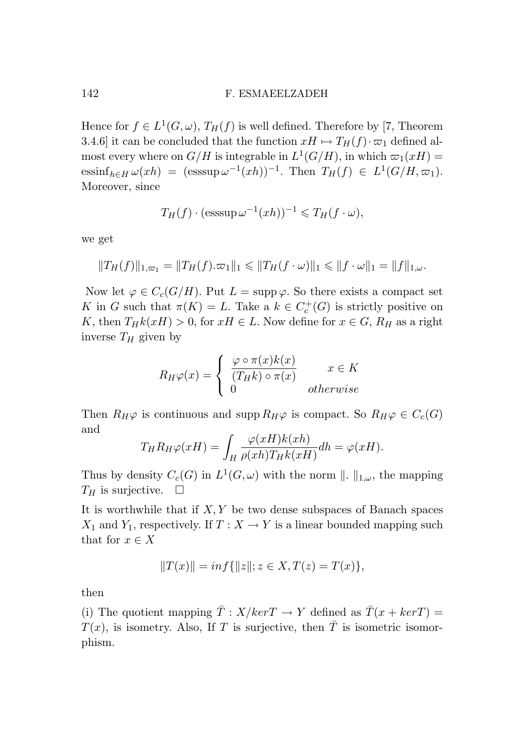Hence for  $f \in L^1(G, \omega)$ ,  $T_H(f)$  is well defined. Therefore by [7, Theorem 3.4.6] it can be concluded that the function  $xH \mapsto T_H(f) \cdot \varpi_1$  defined almost every where on  $G/H$  is integrable in  $L^1(G/H)$ , in which  $\varpi_1(xH)$  =  $\text{essinf}_{h \in H} \omega(xh) = (\text{esssup } \omega^{-1}(xh))^{-1}.$  Then  $T_H(f) \in L^1(G/H, \omega_1).$ Moreover, since

$$
T_H(f) \cdot (\operatorname{esssup} \omega^{-1}(xh))^{-1} \leq T_H(f \cdot \omega),
$$

we get

$$
||T_H(f)||_{1,\varpi_1} = ||T_H(f).\varpi_1||_1 \le ||T_H(f \cdot \omega)||_1 \le ||f \cdot \omega||_1 = ||f||_{1,\omega}.
$$

Now let  $\varphi \in C_c(G/H)$ . Put  $L = \text{supp }\varphi$ . So there exists a compact set *K* in *G* such that  $\pi(K) = L$ . Take a  $k \in C_c^+(G)$  is strictly positive on *K*, then  $T_H k(xH) > 0$ , for  $xH \in L$ . Now define for  $x \in G$ ,  $R_H$  as a right inverse *T<sup>H</sup>* given by

$$
R_H \varphi(x) = \begin{cases} \frac{\varphi \circ \pi(x)k(x)}{(T_H k) \circ \pi(x)} & x \in K \\ 0 & otherwise \end{cases}
$$

Then  $R_H\varphi$  is continuous and supp  $R_H\varphi$  is compact. So  $R_H\varphi \in C_c(G)$ and *ϕ*(*xH*)*k*(*xh*)

$$
T_H R_H \varphi(xH) = \int_H \frac{\varphi(xH)k(xh)}{\rho(xh)T_H k(xH)} dh = \varphi(xH).
$$

Thus by density  $C_c(G)$  in  $L^1(G, \omega)$  with the norm  $\| \cdot \|_{1,\omega}$ , the mapping  $T_H$  is surjective.  $\Box$ 

It is worthwhile that if *X, Y* be two dense subspaces of Banach spaces *X*<sub>1</sub> and *Y*<sub>1</sub>, respectively. If  $T: X \to Y$  is a linear bounded mapping such that for  $x \in X$ 

$$
||T(x)|| = inf{||z||; z \in X, T(z) = T(x)},
$$

then

(i) The quotient mapping  $\overline{T}$  :  $X/kerT \rightarrow Y$  defined as  $\overline{T}(x + kerT) =$  $T(x)$ , is isometry. Also, If *T* is surjective, then  $\overline{T}$  is isometric isomorphism.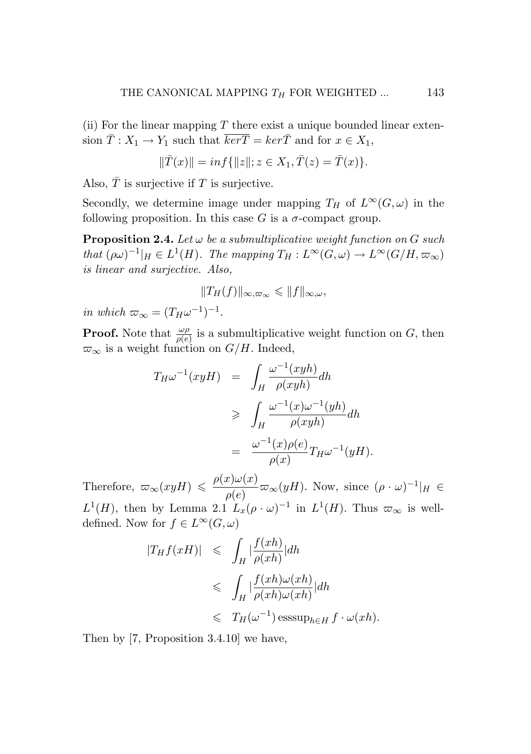(ii) For the linear mapping *T* there exist a unique bounded linear extension  $\overline{T}$  :  $X_1 \rightarrow Y_1$  such that  $\overline{ker T} = ker \overline{T}$  and for  $x \in X_1$ ,

$$
\|\bar{T}(x)\| = \inf\{\|z\|; z \in X_1, \bar{T}(z) = \bar{T}(x)\}.
$$

Also,  $\overline{T}$  is surjective if  $T$  is surjective.

Secondly, we determine image under mapping  $T_H$  of  $L^\infty(G,\omega)$  in the following proposition. In this case  $G$  is a  $\sigma$ -compact group.

**Proposition 2.4.** Let  $\omega$  be a submultiplicative weight function on  $G$  such *that*  $(\rho \omega)^{-1}|_H \in L^1(H)$ *. The mapping*  $T_H: L^\infty(G, \omega) \to L^\infty(G/H, \overline{\omega}_\infty)$ *is linear and surjective. Also,*

$$
||T_H(f)||_{\infty,\varpi_{\infty}} \leq ||f||_{\infty,\omega},
$$

*in which*  $\varpi_{\infty} = (T_H \omega^{-1})^{-1}$ .

**Proof.** Note that  $\frac{\omega \rho}{\rho(e)}$  is a submultiplicative weight function on *G*, then  $\varpi_{\infty}$  is a weight function on *G/H*. Indeed,

$$
T_H \omega^{-1}(xyH) = \int_H \frac{\omega^{-1}(xyh)}{\rho(xyh)} dh
$$
  
\n
$$
\geq \int_H \frac{\omega^{-1}(x)\omega^{-1}(yh)}{\rho(xyh)} dh
$$
  
\n
$$
= \frac{\omega^{-1}(x)\rho(e)}{\rho(x)} T_H \omega^{-1}(yH).
$$

Therefore,  $\omega_{\infty}(xyH) \leq \frac{\rho(x)\omega(x)}{\rho(e)} \omega_{\infty}(yH)$ . Now, since  $(\rho \cdot \omega)^{-1}|_H \in$  $L^1(H)$ , then by Lemma 2.1  $L_x(\rho \cdot \omega)^{-1}$  in  $L^1(H)$ . Thus  $\varpi_{\infty}$  is welldefined. Now for  $f \in L^{\infty}(G, \omega)$ 

$$
|T_H f(xH)| \leq \int_H |\frac{f(xh)}{\rho(xh)}| dh
$$
  

$$
\leq \int_H |\frac{f(xh)\omega(xh)}{\rho(xh)\omega(xh)}| dh
$$
  

$$
\leq T_H(\omega^{-1}) \operatorname{esssup}_{h \in H} f \cdot \omega(xh).
$$

Then by [7, Proposition 3.4.10] we have,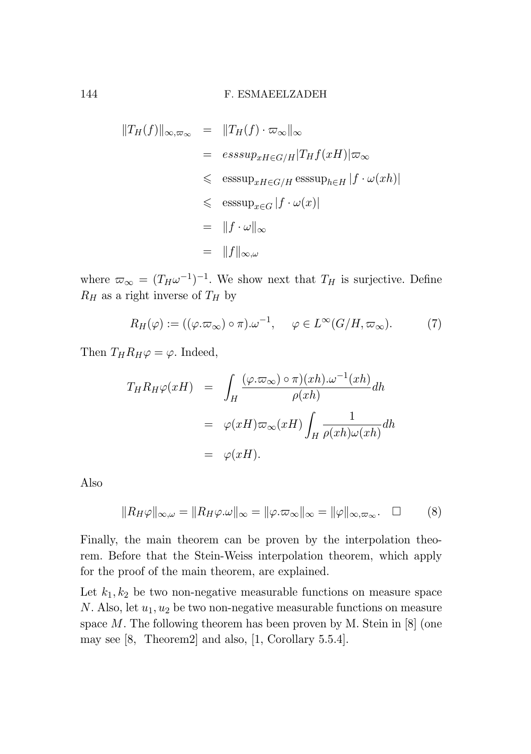$$
||T_H(f)||_{\infty,\varpi_{\infty}} = ||T_H(f) \cdot \varpi_{\infty}||_{\infty}
$$
  
\n
$$
= esssup_{xH \in G/H} |T_Hf(xH)|\varpi_{\infty}
$$
  
\n
$$
\leq esssup_{xH \in G/H} esssup_{h \in H} |f \cdot \omega(xh)|
$$
  
\n
$$
\leq esssup_{x \in G} |f \cdot \omega(x)|
$$
  
\n
$$
= ||f \cdot \omega||_{\infty}
$$
  
\n
$$
= ||f||_{\infty,\omega}
$$

where  $\varpi_{\infty} = (T_H \omega^{-1})^{-1}$ . We show next that  $T_H$  is surjective. Define  $R_H$  as a right inverse of  $T_H$  by

$$
R_H(\varphi) := ((\varphi. \varpi_{\infty}) \circ \pi). \omega^{-1}, \quad \varphi \in L^{\infty}(G/H, \varpi_{\infty}).
$$
 (7)

Then  $T_H R_H \varphi = \varphi$ . Indeed,

$$
T_H R_H \varphi(xH) = \int_H \frac{(\varphi \cdot \varpi_\infty) \circ \pi)(xh) \cdot \omega^{-1}(xh)}{\rho(xh)} dh
$$
  

$$
= \varphi(xH) \varpi_\infty(xH) \int_H \frac{1}{\rho(xh)\omega(xh)} dh
$$
  

$$
= \varphi(xH).
$$

Also

$$
||R_H\varphi||_{\infty,\omega} = ||R_H\varphi.\omega||_{\infty} = ||\varphi.\varpi_{\infty}||_{\infty} = ||\varphi||_{\infty,\varpi_{\infty}}.\quad \Box \tag{8}
$$

Finally, the main theorem can be proven by the interpolation theo-<br>Reference interpolation theorem. Before that the Stein-Weiss interpolation theorem, which apply for the proof of the main theorem, are explained. for the proof of the main theorem, are explained.

Let  $k_1, k_2$  be two non-negative measurable functions on measure space *N*. Also, let *u*<sub>1</sub>, *u*<sub>2</sub> be two non-negative measurable functions on measure space *M*. The following theorem has been proven by M. Stein in [8] (one may see [8, Theorem2] and also, [1, Corollary 5.5.4]. may see [8, Theorem2] and also, [1, Corollary 5.5.4].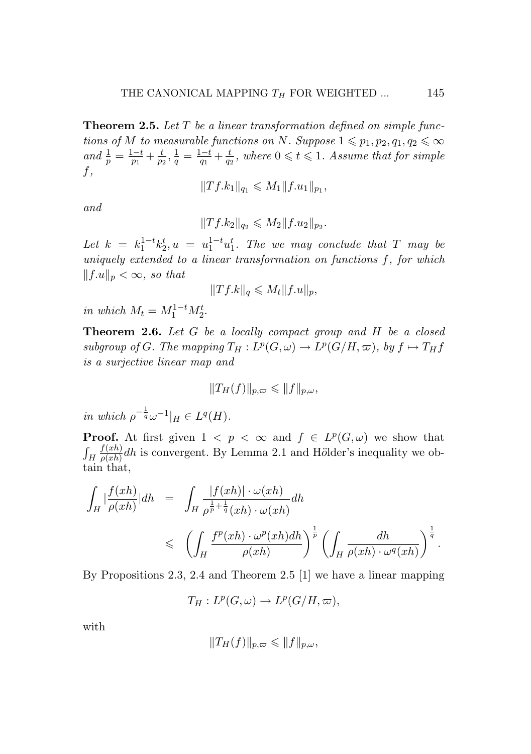Theorem 2.5. *Let T be a linear transformation defined on simple functions of M to measurable functions on N. Suppose*  $1 \leq p_1, p_2, q_1, q_2 \leq \infty$ *and*  $\frac{1}{p} = \frac{1-t}{p_1} + \frac{t}{p_2}, \frac{1}{q} = \frac{1-t}{q_1} + \frac{t}{q_2}$ , where  $0 \leq t \leq 1$ . Assume that for simple *f,*

$$
||Tf.k_1||_{q_1} \leqslant M_1||f.u_1||_{p_1},
$$

*and*

$$
||Tf.k_2||_{q_2} \leqslant M_2||f.u_2||_{p_2}.
$$

*Let*  $k = k_1^{1-t} k_2^t$ ,  $u = u_1^{1-t} u_1^t$ . The we may conclude that *T* may be *uniquely extended to a linear transformation on functions f, for which*  $||f.u||_p < \infty$ , so that

$$
||Tf.k||_q \leq M_t ||f.u||_p,
$$

*in which*  $M_t = M_1^{1-t} M_2^t$ .

Theorem 2.6. *Let G be a locally compact group and H be a closed subgroup of G. The mapping*  $T_H: L^p(G, \omega) \to L^p(G/H, \omega)$ *, by*  $f \mapsto T_H f$ *is a surjective linear map and*

$$
||T_H(f)||_{p,\varpi} \leq ||f||_{p,\omega},
$$

*in which*  $\rho^{-\frac{1}{q}} \omega^{-1}|_H \in L^q(H)$ *.* 

**Proof.** At first given  $1 \leq p \leq \infty$  and  $f \in L^p(G, \omega)$  we show that  $\int_H$  $\frac{f(xh)}{\rho(xh)}$ dh is convergent. By Lemma 2.1 and Hölder's inequality we obtain that,

$$
\int_H \left| \frac{f(xh)}{\rho(xh)} \right| dh = \int_H \frac{|f(xh)| \cdot \omega(xh)}{\rho^{\frac{1}{p} + \frac{1}{q}}(xh) \cdot \omega(xh)} dh
$$
\n
$$
\leq \left( \int_H \frac{f^p(xh) \cdot \omega^p(xh) dh}{\rho(xh)} \right)^{\frac{1}{p}} \left( \int_H \frac{dh}{\rho(xh) \cdot \omega^q(xh)} \right)^{\frac{1}{q}}.
$$

By Propositions 2.3, 2.4 and Theorem 2.5 [1] we have a linear mapping

$$
T_H: L^p(G, \omega) \to L^p(G/H, \omega),
$$

with

$$
||T_H(f)||_{p,\varpi} \leq ||f||_{p,\omega},
$$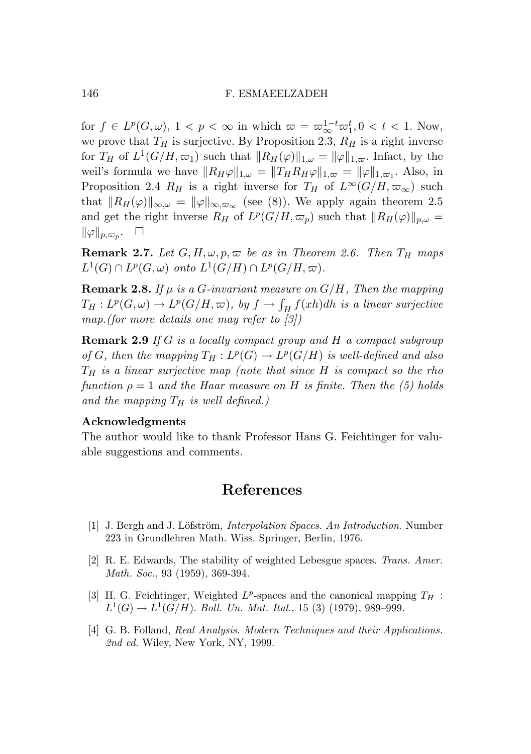for  $f \in L^p(G, \omega)$ ,  $1 < p < \infty$  in which  $\varpi = \varpi_{\infty}^{1-t} \varpi_1^t, 0 < t < 1$ . Now, we prove that  $T_H$  is surjective. By Proposition 2.3,  $R_H$  is a right inverse for  $T_H$  of  $L^1(G/H, \varpi_1)$  such that  $||R_H(\varphi)||_{1,\omega} = ||\varphi||_{1,\varpi}$ . Infact, by the weil's formula we have  $||R_H\varphi||_{1,\omega} = ||T_HR_H\varphi||_{1,\omega} = ||\varphi||_{1,\omega}$ . Also, in Proposition 2.4  $R_H$  is a right inverse for  $T_H$  of  $L^\infty(G/H, \varpi_\infty)$  such that  $||R_H(\varphi)||_{\infty,\omega} = ||\varphi||_{\infty,\varpi_{\infty}}$  (see (8)). We apply again theorem 2.5 and get the right inverse  $R_H$  of  $L^p(G/H, \varpi_p)$  such that  $||R_H(\varphi)||_{p,\omega} =$  $\|\varphi\|_{p,\varpi_p}$ .  $\square$ 

**Remark 2.7.** *Let*  $G, H, \omega, p, \varpi$  *be as in Theorem 2.6. Then*  $T_H$  *maps*  $L^1(G) \cap L^p(G, \omega)$  *onto*  $L^1(G/H) \cap L^p(G/H, \omega)$ *.* 

**Remark 2.8.** If  $\mu$  is a *G*-invariant measure on  $G/H$ , Then the mapping  $T_H: L^p(G, \omega) \to L^p(G/H, \varpi)$ *, by*  $f \mapsto \int_H f(xh)dh$  *is a linear surjective map.(for more details one may refer to [3])*

Remark 2.9 *If G is a locally compact group and H a compact subgroup of G, then the mapping*  $T_H: L^p(G) \to L^p(G/H)$  *is well-defined and also T<sup>H</sup> is a linear surjective map (note that since H is compact so the rho function*  $\rho = 1$  *and the Haar measure on H is finite. Then the* (5) holds *and the mapping T<sup>H</sup> is well defined.)*

#### Acknowledgments

The author would like to thank Professor Hans G. Feichtinger for valuable suggestions and comments.

### References

- [1] J. Bergh and J. Löfström, *Interpolation Spaces. An Introduction*. Number 223 in Grundlehren Math. Wiss. Springer, Berlin, 1976.
- [2] R. E. Edwards, The stability of weighted Lebesgue spaces. *Trans. Amer. Math. Soc.*, 93 (1959), 369-394.
- [3] H. G. Feichtinger, Weighted  $L^p$ -spaces and the canonical mapping  $T_H$ :  $L^1(G) \to L^1(G/H)$ . *Boll. Un. Mat. Ital.*, 15 (3) (1979), 989–999.
- [4] G. B. Folland, *Real Analysis. Modern Techniques and their Applications. 2nd ed.* Wiley, New York, NY, 1999.